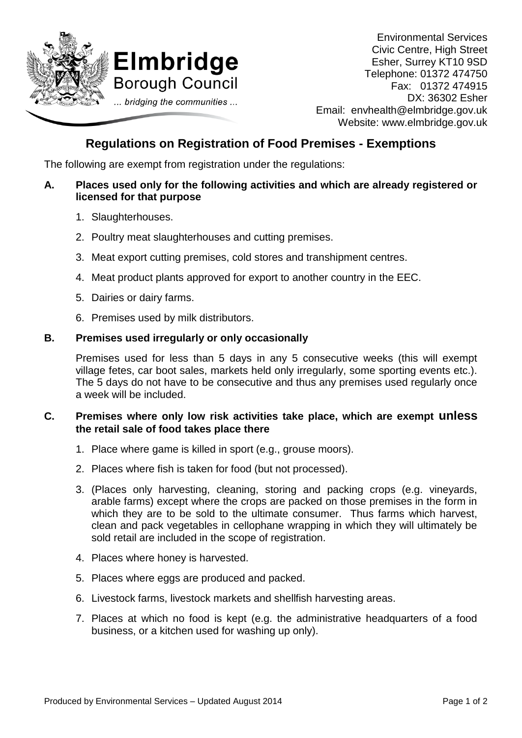

Environmental Services Civic Centre, High Street Esher, Surrey KT10 9SD Telephone: 01372 474750 Fax:01372 474915 DX: 36302 Esher Email: envhealth@elmbridge.gov.uk Website: www.elmbridge.gov.uk

# **Regulations on Registration of Food Premises - Exemptions**

The following are exempt from registration under the regulations:

#### **A. Places used only for the following activities and which are already registered or licensed for that purpose**

- 1. Slaughterhouses.
- 2. Poultry meat slaughterhouses and cutting premises.
- 3. Meat export cutting premises, cold stores and transhipment centres.
- 4. Meat product plants approved for export to another country in the EEC.
- 5. Dairies or dairy farms.
- 6. Premises used by milk distributors.

#### **B. Premises used irregularly or only occasionally**

Premises used for less than 5 days in any 5 consecutive weeks (this will exempt village fetes, car boot sales, markets held only irregularly, some sporting events etc.). The 5 days do not have to be consecutive and thus any premises used regularly once a week will be included.

## **C. Premises where only low risk activities take place, which are exempt unless the retail sale of food takes place there**

- 1. Place where game is killed in sport (e.g., grouse moors).
- 2. Places where fish is taken for food (but not processed).
- 3. (Places only harvesting, cleaning, storing and packing crops (e.g. vineyards, arable farms) except where the crops are packed on those premises in the form in which they are to be sold to the ultimate consumer. Thus farms which harvest, clean and pack vegetables in cellophane wrapping in which they will ultimately be sold retail are included in the scope of registration.
- 4. Places where honey is harvested.
- 5. Places where eggs are produced and packed.
- 6. Livestock farms, livestock markets and shellfish harvesting areas.
- 7. Places at which no food is kept (e.g. the administrative headquarters of a food business, or a kitchen used for washing up only).